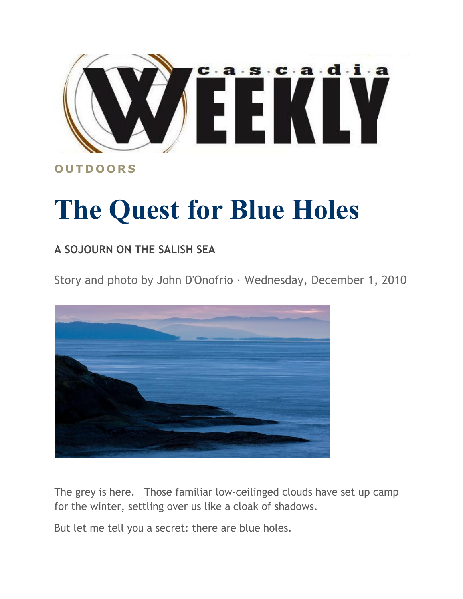

## **O U T D O O R S**

## **The Quest for Blue Holes**

## **A SOJOURN ON THE SALISH SEA**

Story and photo by John D'Onofrio · Wednesday, December 1, 2010



The grey is here. Those familiar low-ceilinged clouds have set up camp for the winter, settling over us like a cloak of shadows.

But let me tell you a secret: there are blue holes.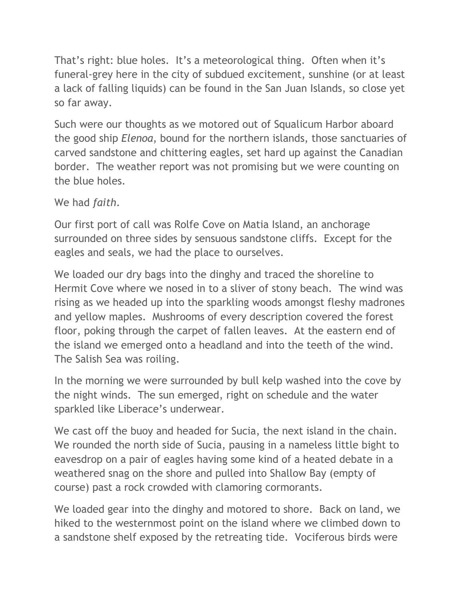That's right: blue holes. It's a meteorological thing. Often when it's funeral-grey here in the city of subdued excitement, sunshine (or at least a lack of falling liquids) can be found in the San Juan Islands, so close yet so far away.

Such were our thoughts as we motored out of Squalicum Harbor aboard the good ship *Elenoa*, bound for the northern islands, those sanctuaries of carved sandstone and chittering eagles, set hard up against the Canadian border. The weather report was not promising but we were counting on the blue holes.

We had *faith*.

Our first port of call was Rolfe Cove on Matia Island, an anchorage surrounded on three sides by sensuous sandstone cliffs. Except for the eagles and seals, we had the place to ourselves.

We loaded our dry bags into the dinghy and traced the shoreline to Hermit Cove where we nosed in to a sliver of stony beach. The wind was rising as we headed up into the sparkling woods amongst fleshy madrones and yellow maples. Mushrooms of every description covered the forest floor, poking through the carpet of fallen leaves. At the eastern end of the island we emerged onto a headland and into the teeth of the wind. The Salish Sea was roiling.

In the morning we were surrounded by bull kelp washed into the cove by the night winds. The sun emerged, right on schedule and the water sparkled like Liberace's underwear.

We cast off the buoy and headed for Sucia, the next island in the chain. We rounded the north side of Sucia, pausing in a nameless little bight to eavesdrop on a pair of eagles having some kind of a heated debate in a weathered snag on the shore and pulled into Shallow Bay (empty of course) past a rock crowded with clamoring cormorants.

We loaded gear into the dinghy and motored to shore. Back on land, we hiked to the westernmost point on the island where we climbed down to a sandstone shelf exposed by the retreating tide. Vociferous birds were